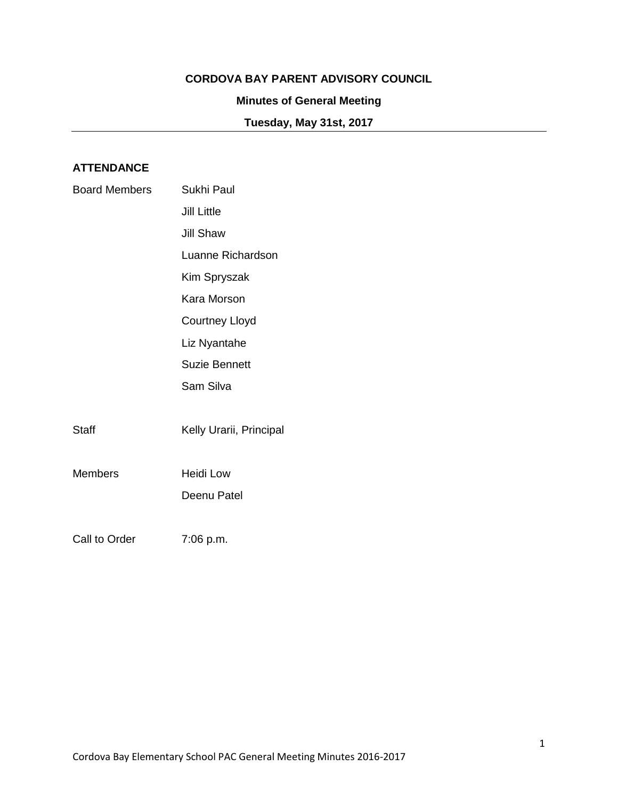## **CORDOVA BAY PARENT ADVISORY COUNCIL**

# **Minutes of General Meeting**

**Tuesday, May 31st, 2017**

# **ATTENDANCE**

| <b>Board Members</b> | Sukhi Paul              |
|----------------------|-------------------------|
|                      | <b>Jill Little</b>      |
|                      | <b>Jill Shaw</b>        |
|                      | Luanne Richardson       |
|                      | Kim Spryszak            |
|                      | Kara Morson             |
|                      | <b>Courtney Lloyd</b>   |
|                      | Liz Nyantahe            |
|                      | <b>Suzie Bennett</b>    |
|                      | Sam Silva               |
|                      |                         |
| <b>Staff</b>         | Kelly Urarii, Principal |
|                      |                         |
| <b>Members</b>       | Heidi Low               |
|                      | Deenu Patel             |
|                      |                         |
| Call to Order        | 7:06 p.m.               |
|                      |                         |